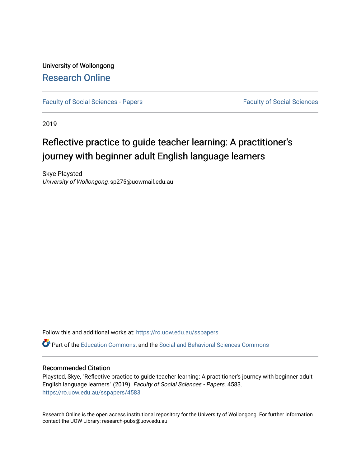University of Wollongong [Research Online](https://ro.uow.edu.au/) 

[Faculty of Social Sciences - Papers](https://ro.uow.edu.au/sspapers) Faculty of Social Sciences

2019

# Reflective practice to guide teacher learning: A practitioner's journey with beginner adult English language learners

Skye Playsted University of Wollongong, sp275@uowmail.edu.au

Follow this and additional works at: [https://ro.uow.edu.au/sspapers](https://ro.uow.edu.au/sspapers?utm_source=ro.uow.edu.au%2Fsspapers%2F4583&utm_medium=PDF&utm_campaign=PDFCoverPages) 

Part of the [Education Commons](http://network.bepress.com/hgg/discipline/784?utm_source=ro.uow.edu.au%2Fsspapers%2F4583&utm_medium=PDF&utm_campaign=PDFCoverPages), and the [Social and Behavioral Sciences Commons](http://network.bepress.com/hgg/discipline/316?utm_source=ro.uow.edu.au%2Fsspapers%2F4583&utm_medium=PDF&utm_campaign=PDFCoverPages) 

### Recommended Citation

Playsted, Skye, "Reflective practice to guide teacher learning: A practitioner's journey with beginner adult English language learners" (2019). Faculty of Social Sciences - Papers. 4583. [https://ro.uow.edu.au/sspapers/4583](https://ro.uow.edu.au/sspapers/4583?utm_source=ro.uow.edu.au%2Fsspapers%2F4583&utm_medium=PDF&utm_campaign=PDFCoverPages)

Research Online is the open access institutional repository for the University of Wollongong. For further information contact the UOW Library: research-pubs@uow.edu.au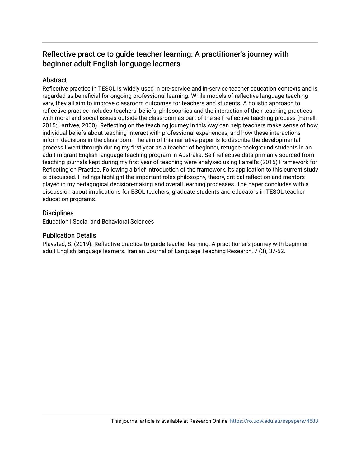# Reflective practice to guide teacher learning: A practitioner's journey with beginner adult English language learners

### **Abstract**

Reflective practice in TESOL is widely used in pre-service and in-service teacher education contexts and is regarded as beneficial for ongoing professional learning. While models of reflective language teaching vary, they all aim to improve classroom outcomes for teachers and students. A holistic approach to reflective practice includes teachers' beliefs, philosophies and the interaction of their teaching practices with moral and social issues outside the classroom as part of the self-reflective teaching process (Farrell, 2015; Larrivee, 2000). Reflecting on the teaching journey in this way can help teachers make sense of how individual beliefs about teaching interact with professional experiences, and how these interactions inform decisions in the classroom. The aim of this narrative paper is to describe the developmental process I went through during my first year as a teacher of beginner, refugee-background students in an adult migrant English language teaching program in Australia. Self-reflective data primarily sourced from teaching journals kept during my first year of teaching were analysed using Farrell's (2015) Framework for Reflecting on Practice. Following a brief introduction of the framework, its application to this current study is discussed. Findings highlight the important roles philosophy, theory, critical reflection and mentors played in my pedagogical decision-making and overall learning processes. The paper concludes with a discussion about implications for ESOL teachers, graduate students and educators in TESOL teacher education programs.

### **Disciplines**

Education | Social and Behavioral Sciences

### Publication Details

Playsted, S. (2019). Reflective practice to guide teacher learning: A practitioner's journey with beginner adult English language learners. Iranian Journal of Language Teaching Research, 7 (3), 37-52.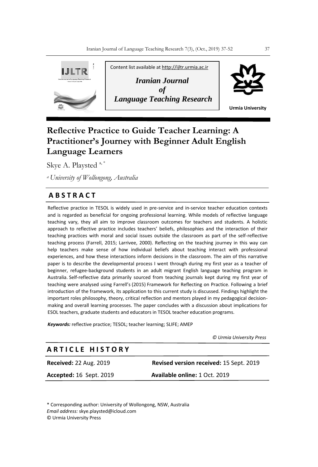

## **Reflective Practice to Guide Teacher Learning: A Practitioner's Journey with Beginner Adult English Language Learners**

Skye A. Playsted <sup>a,\*</sup>

*<sup>a</sup>University of Wollongong, Australia*

### **A B S T R A C T**

Reflective practice in TESOL is widely used in pre-service and in-service teacher education contexts and is regarded as beneficial for ongoing professional learning. While models of reflective language teaching vary, they all aim to improve classroom outcomes for teachers and students. A holistic approach to reflective practice includes teachers' beliefs, philosophies and the interaction of their teaching practices with moral and social issues outside the classroom as part of the self-reflective teaching process (Farrell, 2015; Larrivee, 2000). Reflecting on the teaching journey in this way can help teachers make sense of how individual beliefs about teaching interact with professional experiences, and how these interactions inform decisions in the classroom. The aim of this narrative paper is to describe the developmental process I went through during my first year as a teacher of beginner, refugee-background students in an adult migrant English language teaching program in Australia. Self-reflective data primarily sourced from teaching journals kept during my first year of teaching were analysed using Farrell's (2015) Framework for Reflecting on Practice. Following a brief introduction of the framework, its application to this current study is discussed. Findings highlight the important roles philosophy, theory, critical reflection and mentors played in my pedagogical decisionmaking and overall learning processes. The paper concludes with a discussion about implications for ESOL teachers, graduate students and educators in TESOL teacher education programs.

*Keywords:* reflective practice; TESOL; teacher learning; SLIFE; AMEP

 *© Urmia University Press*

### **A R T I C L E H I S T O R Y**

**Received:** 22 Aug. 2019 **Revised version received:** 15 Sept. 2019 **Accepted:** 16 Sept. 2019 **Available online:** 1 Oct. 2019

\* Corresponding author: University of Wollongong, NSW, Australia *Email address:* skye.playsted@icloud.com © Urmia University Press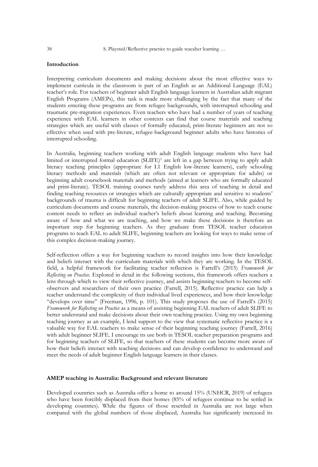38 S. Playsted/Reflective practice to guide teacaher learning …

#### **Introduction**

Interpreting curriculum documents and making decisions about the most effective ways to implement curricula in the classroom is part of an English as an Additional Language (EAL) teacher's role. For teachers of beginner adult English language learners in Australian adult migrant English Programs (AMEPs), this task is made more challenging by the fact that many of the students entering these programs are from refugee backgrounds, with interrupted schooling and traumatic pre-migration experiences. Even teachers who have had a number of years of teaching experience with EAL learners in other contexts can find that course materials and teaching strategies which are useful with classes of formally educated, print-literate beginners are not so effective when used with pre-literate, refugee-background beginner adults who have histories of interrupted schooling.

In Australia, beginning teachers working with adult English language students who have had limited or interrupted formal education (SLIFE)<sup>1</sup> are left in a gap between trying to apply adult literacy teaching principles (appropriate for L1 English low-literate learners), early schooling literacy methods and materials (which are often not relevant or appropriate for adults) or beginning adult coursebook materials and methods (aimed at learners who are formally educated and print-literate). TESOL training courses rarely address this area of teaching in detail and finding teaching resources or strategies which are culturally appropriate and sensitive to students' backgrounds of trauma is difficult for beginning teachers of adult SLIFE. Also, while guided by curriculum documents and course materials, the decision-making process of how to teach course content needs to reflect an individual teacher's beliefs about learning and teaching. Becoming aware of how and what we are teaching, and how we make these decisions is therefore an important step for beginning teachers. As they graduate from TESOL teacher education programs to teach EAL to adult SLIFE, beginning teachers are looking for ways to make sense of this complex decision-making journey.

Self-reflection offers a way for beginning teachers to record insights into how their knowledge and beliefs interact with the curriculum materials with which they are working. In the TESOL field, a helpful framework for facilitating teacher reflection is Farrell's (2015) *Framework for Reflecting on Practice.* Explored in detail in the following sections, this framework offers teachers a lens through which to view their reflective journey, and assists beginning teachers to become selfobservers and researchers of their own practice (Farrell, 2015). Reflective practice can help a teacher understand the complexity of their individual lived experiences, and how their knowledge "develops over time" (Freeman, 1996, p. 101). This study proposes the use of Farrell's (2015) *Framework for Reflecting on Practice* as a means of assisting beginning EAL teachers of adult SLIFE to better understand and make decisions about their own teaching practice. Using my own beginning teaching journey as an example, I lend support to the view that systematic reflective practice is a valuable way for EAL teachers to make sense of their beginning teaching journey (Farrell, 2016) with adult beginner SLIFE. I encourage its use both in TESOL teacher preparation programs and for beginning teachers of SLIFE, so that teachers of these students can become more aware of how their beliefs interact with teaching decisions and can develop confidence to understand and meet the needs of adult beginner English language learners in their classes.

#### **AMEP teaching in Australia: Background and relevant literature**

Developed countries such as Australia offer a home to around 15% (UNHCR, 2019) of refugees who have been forcibly displaced from their homes (85% of refugees continue to be settled in developing countries). While the figures of those resettled in Australia are not large when compared with the global numbers of those displaced, Australia has significantly increased its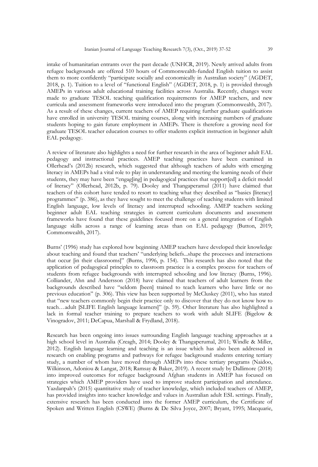intake of humanitarian entrants over the past decade (UNHCR, 2019). Newly arrived adults from refugee backgrounds are offered 510 hours of Commonwealth-funded English tuition to assist them to more confidently "participate socially and economically in Australian society" (AGDET, 2018, p. 1). Tuition to a level of "functional English" (AGDET, 2018, p. 1) is provided through AMEPs in various adult educational training facilities across Australia. Recently, changes were made to graduate TESOL teaching qualification requirements for AMEP teachers, and new curricula and assessment frameworks were introduced into the program (Commonwealth, 2017). As a result of these changes, current teachers of AMEP requiring further graduate qualifications have enrolled in university TESOL training courses, along with increasing numbers of graduate students hoping to gain future employment in AMEPs. There is therefore a growing need for graduate TESOL teacher education courses to offer students explicit instruction in beginner adult EAL pedagogy.

A review of literature also highlights a need for further research in the area of beginner adult EAL pedagogy and instructional practices. AMEP teaching practices have been examined in Ollerhead's (2012b) research, which suggested that although teachers of adults with emerging literacy in AMEPs had a vital role to play in understanding and meeting the learning needs of their students, they may have been "engag[ing] in pedagogical practices that support[ed] a deficit model of literacy" (Ollerhead, 2012b, p. 79). Dooley and Thangaperamul (2011) have claimed that teachers of this cohort have tended to resort to teaching what they described as "basics [literacy] programmes" (p. 386), as they have sought to meet the challenge of teaching students with limited English language, low levels of literacy and interrupted schooling. AMEP teachers seeking beginner adult EAL teaching strategies in current curriculum documents and assessment frameworks have found that these guidelines focused more on a general integration of English language skills across a range of learning areas than on EAL pedagogy (Button, 2019; Commonwealth, 2017).

Burns' (1996) study has explored how beginning AMEP teachers have developed their knowledge about teaching and found that teachers' "underlying beliefs...shape the processes and interactions that occur [in their classrooms]" (Burns, 1996, p. 154). This research has also noted that the application of pedagogical principles to classroom practice is a complex process for teachers of students from refugee backgrounds with interrupted schooling and low literacy (Burns, 1996). Colliander, Ahn and Andersson (2018) have claimed that teachers of adult learners from the backgrounds described have "seldom [been] trained to teach learners who have little or no previous education" (p. 306). This view has been supported by McCluskey (2011), who has stated that "new teachers commonly begin their practice only to discover that they do not know how to teach…adult [SLIFE English language learners]" (p. 59). Other literature has also highlighted a lack in formal teacher training to prepare teachers to work with adult SLIFE (Bigelow & Vinogradov, 2011; DeCapua, Marshall & Frydland, 2018).

Research has been ongoing into issues surrounding English language teaching approaches at a high school level in Australia (Creagh, 2014; Dooley & Thangaperumal, 2011; Windle & Miller, 2012). English language learning and teaching is an issue which has also been addressed in research on enabling programs and pathways for refugee background students entering tertiary study, a number of whom have moved through AMEPs into these tertiary programs (Naidoo, Wilkinson, Adoniou & Langat, 2018; Ramsay & Baker, 2019). A recent study by Dallimore (2018) into improved outcomes for refugee background Afghan students in AMEP has focused on strategies which AMEP providers have used to improve student participation and attendance. Yazdanpah's (2015) quantitative study of teacher knowledge, which included teachers of AMEP, has provided insights into teacher knowledge and values in Australian adult ESL settings. Finally, extensive research has been conducted into the former AMEP curriculum, the Certificate of Spoken and Written English (CSWE) (Burns & De Silva Joyce, 2007; Bryant, 1995; Macquarie,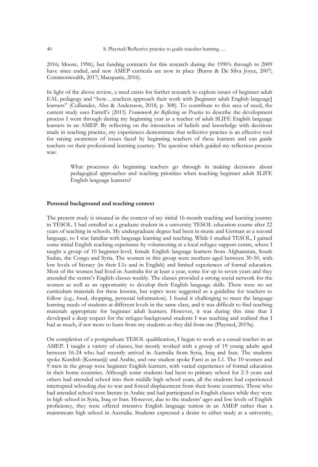2016; Moore, 1996), but funding contracts for this research during the 1990's through to 2009 have since ended, and new AMEP curricula are now in place (Burns & De Silva Joyce, 2007; Commonwealth, 2017; Macquarie, 2016).

In light of the above review, a need exists for further research to explore issues of beginner adult EAL pedagogy and "how…teachers approach their work with [beginner adult English language] learners" (Colliander, Ahn & Andersson, 2018, p. 308). To contribute to this area of need, the current study uses Farrell's (2015) *Framework for Reflecting on Practice* to describe the development process I went through during my beginning year as a teacher of adult SLIFE English language learners in an AMEP. By reflecting on the interaction of beliefs and knowledge with decisions made in teaching practice, my experiences demonstrate that reflective practice is an effective tool for raising awareness of issues faced by beginning teachers of these learners and can guide teachers on their professional learning journey. The question which guided my reflection process was:

> What processes do beginning teachers go through in making decisions about pedagogical approaches and teaching priorities when teaching beginner adult SLIFE English language learners?

#### **Personal background and teaching context**

The present study is situated in the context of my initial 16-month teaching and learning journey in TESOL. I had enrolled as a graduate student in a university TESOL education course after 22 years of teaching in schools. My undergraduate degree had been in music and German as a second language, so I was familiar with language learning and teaching. While I studied TESOL, I gained some initial English teaching experience by volunteering at a local refugee support centre, where I taught a group of 10 beginner-level, female English language learners from Afghanistan, South Sudan, the Congo and Syria. The women in this group were mothers aged between 30-50, with low levels of literacy (in their L1s and in English) and limited experiences of formal education. Most of the women had lived in Australia for at least a year, some for up to seven years and they attended the centre's English classes weekly. The classes provided a strong social network for the women as well as an opportunity to develop their English language skills. There were no set curriculum materials for these lessons, but topics were suggested as a guideline for teachers to follow (e.g., food, shopping, personal information). I found it challenging to meet the language learning needs of students at different levels in the same class, and it was difficult to find teaching materials appropriate for beginner adult learners. However, it was during this time that I developed a deep respect for the refugee-background students I was teaching and realised that I had as much, if not more to learn from my students as they did from me (Playsted, 2019a).

On completion of a postgraduate TESOL qualification, I began to work as a casual teacher in an AMEP. I taught a variety of classes, but mostly worked with a group of 19 young adults aged between 16-24 who had recently arrived in Australia from Syria, Iraq and Iran. The students spoke Kurdish (Kurmanji) and Arabic, and one student spoke Farsi as an L1. The 10 women and 9 men in the group were beginner English learners, with varied experiences of formal education in their home countries. Although some students had been to primary school for 2-5 years and others had attended school into their middle high school years, all the students had experienced interrupted schooling due to war and forced displacement from their home countries. Those who had attended school were literate in Arabic and had participated in English classes while they were in high school in Syria, Iraq or Iran. However, due to the students' ages and low levels of English proficiency, they were offered intensive English language tuition in an AMEP rather than a mainstream high school in Australia. Students expressed a desire to either study at a university,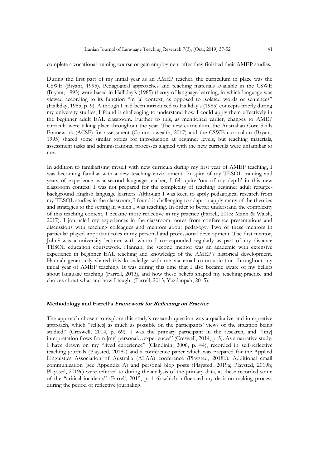complete a vocational training course or gain employment after they finished their AMEP studies.

During the first part of my initial year as an AMEP teacher, the curriculum in place was the CSWE (Bryant, 1995). Pedagogical approaches and teaching materials available in the CSWE (Bryant, 1995) were based in Halliday's (1985) theory of language learning, in which language was viewed according to its function "in [a] context, as opposed to isolated words or sentences" (Halliday, 1985, p. 9). Although I had been introduced to Halliday's (1985) concepts briefly during my university studies, I found it challenging to understand how I could apply them effectively in the beginner adult EAL classroom. Further to this, as mentioned earlier, changes to AMEP curricula were taking place throughout the year. The new curriculum, the Australian Core Skills Framework (ACSF) for assessment (Commonwealth, 2017) and the CSWE curriculum (Bryant, 1995) shared some similar topics for introduction at beginner levels, but teaching materials, assessment tasks and administrational processes aligned with the new curricula were unfamiliar to me.

In addition to familiarising myself with new curricula during my first year of AMEP teaching, I was becoming familiar with a new teaching environment. In spite of my TESOL training and years of experience as a second language teacher, I felt quite 'out of my depth' in this new classroom context. I was not prepared for the complexity of teaching beginner adult refugeebackground English language learners. Although I was keen to apply pedagogical research from my TESOL studies in the classroom, I found it challenging to adapt or apply many of the theories and strategies to the setting in which I was teaching. In order to better understand the complexity of this teaching context, I became more reflective in my practice (Farrell, 2015; Mann & Walsh, 2017). I journaled my experiences in the classroom, notes from conference presentations and discussions with teaching colleagues and mentors about pedagogy. Two of these mentors in particular played important roles in my personal and professional development. The first mentor, John<sup>2</sup> was a university lecturer with whom I corresponded regularly as part of my distance TESOL education coursework. Hannah, the second mentor was an academic with extensive experience in beginner EAL teaching and knowledge of the AMEP's historical development. Hannah generously shared this knowledge with me via email communication throughout my initial year of AMEP teaching. It was during this time that I also became aware of my beliefs about language teaching (Farrell, 2013), and how these beliefs shaped my teaching practice and choices about what and how I taught (Farrell, 2013; Yazdanpah, 2015).

#### **Methodology and Farrell's Framework for Reflecting on Practice**

The approach chosen to explore this study's research question was a qualitative and interpretive approach, which "rellies] as much as possible on the participants' views of the situation being studied" (Creswell, 2014, p. 69). I was the primary participant in the research, and "[my] interpretation flows from [my] personal…experiences" (Creswell, 2014, p. 5). As a narrative study, I have drawn on my "lived experience" (Clandinin, 2006, p. 44), recorded in self-reflective teaching journals (Playsted, 2018a) and a conference paper which was prepared for the Applied Linguistics Association of Australia (ALAA) conference (Playsted, 2018b). Additional email communication (see Appendix A) and personal blog posts (Playsted, 2019a; Playsted, 2019b; Playsted, 2019c) were referred to during the analysis of the primary data, as these recorded some of the "critical incidents" (Farrell, 2015, p. 116) which influenced my decision-making process during the period of reflective journaling.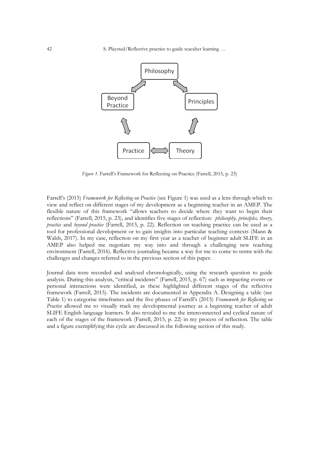42 S. Playsted/Reflective practice to guide teacaher learning …



*Figure 1.* Farrell's Framework for Reflecting on Practice (Farrell, 2015, p. 23)

Farrell's (2015) *Framework for Reflecting on Practice* (see Figure 1) was used as a lens through which to view and reflect on different stages of my development as a beginning teacher in an AMEP. The flexible nature of this framework "allows teachers to decide where they want to begin their reflections" (Farrell, 2015, p. 23), and identifies five stages of reflection: *philosophy, principles, theory, practice* and *beyond practice* (Farrell, 2015, p. 22). Reflection on teaching practice can be used as a tool for professional development or to gain insights into particular teaching contexts (Mann & Walsh, 2017). In my case, reflection on my first year as a teacher of beginner adult SLIFE in an AMEP also helped me negotiate my way into and through a challenging new teaching environment (Farrell, 2016). Reflective journaling became a way for me to come to terms with the challenges and changes referred to in the previous section of this paper.

Journal data were recorded and analysed chronologically, using the research question to guide analysis. During this analysis, "critical incidents" (Farrell, 2015, p. 67) such as impacting events or personal interactions were identified, as these highlighted different stages of the reflective framework (Farrell, 2015). The incidents are documented in Appendix A. Designing a table (see Table 1) to categorise timeframes and the five phases of Farrell's (2015) *Framework for Reflecting on Practice* allowed me to visually track my developmental journey as a beginning teacher of adult SLIFE English language learners. It also revealed to me the interconnected and cyclical nature of each of the stages of the framework (Farrell, 2015, p. 22) in my process of reflection. The table and a figure exemplifying this cycle are discussed in the following section of this study.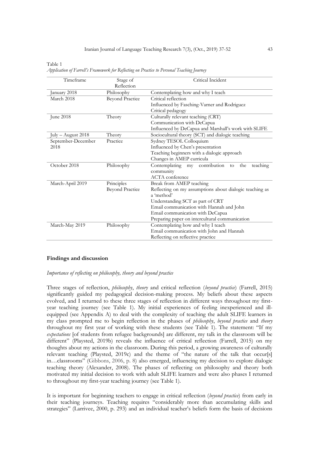| Timeframe                           | Stage of               | Critical Incident                                       |
|-------------------------------------|------------------------|---------------------------------------------------------|
|                                     | Reflection             |                                                         |
| January 2018                        | Philosophy             | Contemplating how and why I teach                       |
| March 2018                          | <b>Beyond Practice</b> | Critical reflection                                     |
|                                     |                        | Influenced by Fasching-Varner and Rodriguez             |
|                                     |                        | Critical pedagogy                                       |
| June 2018                           | Theory                 | Culturally relevant teaching (CRT)                      |
|                                     |                        | Communication with DeCapua                              |
|                                     |                        | Influenced by DeCapua and Marshall's work with SLIFE    |
| $\text{July} - \text{August } 2018$ | Theory                 | Sociocultural theory (SCT) and dialogic teaching        |
| September-December                  | Practice               | Sydney TESOL Colloquium                                 |
| 2018                                |                        | Influenced by Chen's presentation                       |
|                                     |                        | Teaching beginners with a dialogic approach             |
|                                     |                        | Changes in AMEP curricula                               |
| October 2018                        | Philosophy             | Contemplating my contribution<br>teaching<br>the<br>to  |
|                                     |                        | community                                               |
|                                     |                        | ACTA conference                                         |
| March-April 2019                    | Principles             | Break from AMEP teaching                                |
|                                     | <b>Beyond Practice</b> | Reflecting on my assumptions about dialogic teaching as |
|                                     |                        | a 'method'                                              |
|                                     |                        | Understanding SCT as part of CRT                        |
|                                     |                        | Email communication with Hannah and John                |
|                                     |                        | Email communication with DeCapua                        |
|                                     |                        | Preparing paper on intercultural communication          |
| March-May 2019                      | Philosophy             | Contemplating how and why I teach                       |
|                                     |                        | Email communication with John and Hannah                |
|                                     |                        | Reflecting on reflective practice                       |

Table 1 *Application of Farrell's Framework for Reflecting on Practice to Personal Teaching Journey*

#### **Findings and discussion**

*Importance of reflecting on philosophy, theory and beyond practice*

Three stages of reflection, *philosophy*, *theory* and critical reflection (*beyond practice*) (Farrell, 2015) significantly guided my pedagogical decision-making process. My beliefs about these aspects evolved, and I returned to these three stages of reflection in different ways throughout my firstyear teaching journey (see Table 1). My initial experiences of feeling inexperienced and illequipped (see Appendix A) to deal with the complexity of teaching the adult SLIFE learners in my class prompted me to begin reflection in the phases of *philosophy*, *beyond practice* and *theory* throughout my first year of working with these students (see Table 1). The statement: "If my *expectations* [of students from refugee backgrounds] are different, my talk in the classroom will be different" (Playsted, 2019b) reveals the influence of critical reflection (Farrell, 2015) on my thoughts about my actions in the classroom. During this period, a growing awareness of culturally relevant teaching (Playsted, 2019c) and the theme of "the nature of the talk that occur[s] in…classrooms" (Gibbons, 2006, p. 8) also emerged, influencing my decision to explore dialogic teaching theory (Alexander, 2008). The phases of reflecting on philosophy and theory both motivated my initial decision to work with adult SLIFE learners and were also phases I returned to throughout my first-year teaching journey (see Table 1).

It is important for beginning teachers to engage in critical reflection (*beyond practice*) from early in their teaching journeys. Teaching requires "considerably more than accumulating skills and strategies" (Larrivee, 2000, p. 293) and an individual teacher's beliefs form the basis of decisions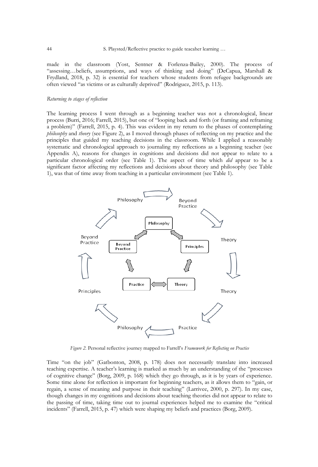made in the classroom (Yost, Sentner & Forlenza-Bailey, 2000). The process of "assessing…beliefs, assumptions, and ways of thinking and doing" (DeCapua, Marshall & Frydland, 2018, p. 32) is essential for teachers whose students from refugee backgrounds are often viewed "as victims or as culturally deprived" (Rodriguez, 2015, p. 113).

#### *Returning to stages of reflection*

The learning process I went through as a beginning teacher was not a chronological, linear process (Burri, 2016; Farrell, 2015), but one of "looping back and forth (or framing and reframing a problem)" (Farrell, 2015, p. 4). This was evident in my return to the phases of contemplating *philosophy* and *theory* (see Figure 2), as I moved through phases of reflecting on my practice and the principles that guided my teaching decisions in the classroom. While I applied a reasonably systematic and chronological approach to journaling my reflections as a beginning teacher (see Appendix A), reasons for changes in cognitions and decisions did not appear to relate to a particular chronological order (see Table 1). The aspect of time which *did* appear to be a significant factor affecting my reflections and decisions about theory and philosophy (see Table 1), was that of time away from teaching in a particular environment (see Table 1).



*Figure 2.* Personal reflective journey mapped to Farrell's *Framework for Reflecting on Practice*

Time "on the job" (Gatbonton, 2008, p. 178) does not necessarily translate into increased teaching expertise. A teacher's learning is marked as much by an understanding of the "processes of cognitive change" (Borg, 2009, p. 168) which they go through, as it is by years of experience. Some time alone for reflection is important for beginning teachers, as it allows them to "gain, or regain, a sense of meaning and purpose in their teaching" (Larrivee, 2000, p. 297). In my case, though changes in my cognitions and decisions about teaching theories did not appear to relate to the passing of time, taking time out to journal experiences helped me to examine the "critical incidents" (Farrell, 2015, p. 47) which were shaping my beliefs and practices (Borg, 2009).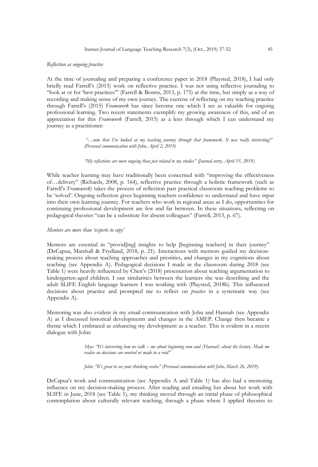#### *Reflection as ongoing practice*

At the time of journaling and preparing a conference paper in 2018 (Playsted, 2018), I had only briefly read Farrell's (2015) work on reflective practice. I was not using reflective journaling to "look at or for 'best practices'" (Farrell & Bennis, 2013, p. 175) at the time, but simply as a way of recording and making sense of my own journey. The exercise of reflecting on my teaching practice through Farrell's (2015) *Framework* has since become one which I see as valuable for ongoing professional learning. Two recent statements exemplify my growing awareness of this, and of an appreciation for this *Framework* (Farrell, 2015) as a lens through which I can understand my journey as a practitioner:

> *"…now that I've looked at my teaching journey through that framework. It was really interesting!" (Personal communication with John, April 2, 2019)*

*"My reflections are more ongoing than just related to my studies" (Journal entry, April 15, 2019).*

While teacher learning may have traditionally been concerned with "improving the effectiveness of…delivery" (Richards, 2008, p. 164), reflective practice through a holistic framework (such as Farrell's *Framework*) takes the process of reflection past practical classroom teaching problems to be 'solved'. Ongoing reflection gives beginning teachers confidence to understand and have input into their own learning journey. For teachers who work in regional areas as I do, opportunities for continuing professional development are few and far between. In these situations, reflecting on pedagogical theories "can be a substitute for absent colleagues" (Farrell, 2015, p. 67).

#### *Mentors are more than 'experts to copy'*

Mentors are essential in "provid[ing] insights to help [beginning teachers] in their journey" (DeCapua, Marshall & Frydland, 2018, p. 21). Interactions with mentors guided my decisionmaking process about teaching approaches and priorities, and changes in my cognitions about teaching (see Appendix A). Pedagogical decisions I made in the classroom during 2018 (see Table 1) were heavily influenced by Chen's (2018) presentation about teaching argumentation to kindergarten-aged children. I saw similarities between the learners she was describing and the adult SLIFE English language learners I was working with (Playsted, 2018b). This influenced decisions about practice and prompted me to reflect on *practice* in a systematic way (see Appendix A).

Mentoring was also evident in my email communication with John and Hannah (see Appendix A) as I discussed historical developments and changes in the AMEP. Change then became a theme which I embraced as enhancing my development as a teacher. This is evident in a recent dialogue with John:

> *Skye: "It's interesting how we talk – me about beginning now and [Hannah] about the history. Made me realise no decisions are neutral or made in a void"*

*John: "It's great to see your thinking evolve" (Personal communication with John, March 26, 2019).*

DeCapua's work and communication (see Appendix A and Table 1) has also had a mentoring influence on my decision-making process. After reading and emailing her about her work with SLIFE in June, 2018 (see Table 1), my thinking moved through an initial phase of philosophical contemplation about culturally relevant teaching, through a phase where I applied theories to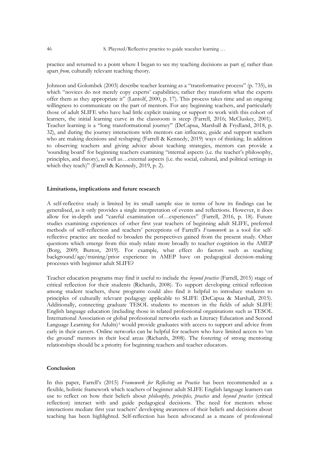practice and returned to a point where I began to see my teaching decisions as part *of*, rather than apart *from,* culturally relevant teaching theory.

Johnson and Golombek (2003) describe teacher learning as a "transformative process" (p. 735), in which "novices do not merely copy experts' capabilities; rather they transform what the experts offer them as they appropriate it" (Lantolf, 2000, p. 17). This process takes time and an ongoing willingness to communicate on the part of mentors. For any beginning teachers, and particularly those of adult SLIFE who have had little explicit training or support to work with this cohort of learners, the initial learning curve in the classroom is steep (Farrell, 2016; McCluskey, 2001). Teacher learning is a "long transformational journey" (DeCapua, Marshall & Frydland, 2018, p. 32), and during the journey interactions with mentors can influence, guide and support teachers who are making decisions and reshaping (Farrell & Kennedy, 2019) ways of thinking. In addition to observing teachers and giving advice about teaching strategies, mentors can provide a 'sounding board' for beginning teachers examining "internal aspects (i.e. the teacher's philosophy, principles, and theory), as well as…external aspects (i.e. the social, cultural, and political settings in which they teach)" (Farrell & Kennedy, 2019, p. 2).

#### **Limitations, implications and future research**

A self-reflective study is limited by its small sample size in terms of how its findings can be generalised, as it only provides a single interpretation of events and reflections. However, it does allow for in-depth and "careful examination of…experiences" (Farrell, 2016, p. 18). Future studies examining experiences of other first year teachers of beginning adult SLIFE, preferred methods of self-reflection and teachers' perceptions of Farrell's *Framework* as a tool for selfreflective practice are needed to broaden the perspectives gained from the present study. Other questions which emerge from this study relate more broadly to teacher cognition in the AMEP (Borg, 2009; Button, 2019). For example, what effect do factors such as teaching background/age/training/prior experience in AMEP have on pedagogical decision-making processes with beginner adult SLIFE?

Teacher education programs may find it useful to include the *beyond practice* (Farrell, 2015) stage of critical reflection for their students (Richards, 2008). To support developing critical reflection among student teachers, these programs could also find it helpful to introduce students to principles of culturally relevant pedagogy applicable to SLIFE (DeCapua & Marshall, 2015). Additionally, connecting graduate TESOL students to mentors in the fields of adult SLIFE English language education (including those in related professional organisations such as TESOL International Association or global professional networks such as Literacy Education and Second Language Learning for Adults)<sup>3</sup> would provide graduates with access to support and advice from early in their careers. Online networks can be helpful for teachers who have limited access to 'on the ground' mentors in their local areas (Richards, 2008). The fostering of strong mentoring relationships should be a priority for beginning teachers and teacher educators.

#### **Conclusion**

In this paper, Farrell's (2015) *Framework for Reflecting on Practice* has been recommended as a flexible, holistic framework which teachers of beginner adult SLIFE English language learners can use to reflect on how their beliefs about *philosophy, principles, practice* and *beyond practice* (critical reflection) interact with and guide pedagogical decisions. The need for mentors whose interactions mediate first year teachers' developing awareness of their beliefs and decisions about teaching has been highlighted. Self-reflection has been advocated as a means of professional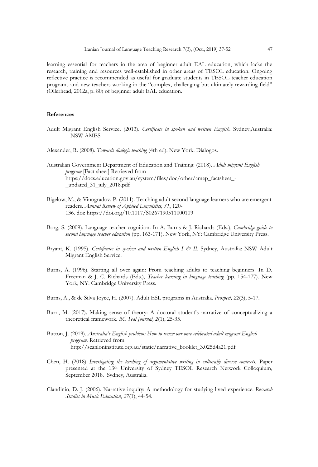learning essential for teachers in the area of beginner adult EAL education, which lacks the research, training and resources well-established in other areas of TESOL education. Ongoing reflective practice is recommended as useful for graduate students in TESOL teacher education programs and new teachers working in the "complex, challenging but ultimately rewarding field" (Ollerhead, 2012a, p. 80) of beginner adult EAL education.

#### **References**

Adult Migrant English Service. (2013). *Certificate in spoken and written English*. Sydney,Australia: NSW AMES.

Alexander, R. (2008). *Towards dialogic teaching* (4th ed). New York: Dialogos.

Australian Government Department of Education and Training. (2018). *Adult migrant English program* [Fact sheet] Retrieved from [https://docs.education.gov.au/system/files/doc/other/amep\\_factsheet\\_-](https://docs.education.gov.au/system/files/doc/other/amep_factsheet_-_updated_31_july_2018.pdf) [\\_updated\\_31\\_july\\_2018.pdf](https://docs.education.gov.au/system/files/doc/other/amep_factsheet_-_updated_31_july_2018.pdf)

- Bigelow, M., & Vinogradov. P. (2011). Teaching adult second language learners who are emergent readers. *Annual Review of Applied Linguistics, 31*, 120- 136. doi: <https://doi.org/10.1017/S0267190511000109>
- Borg, S. (2009). Language teacher cognition. In A. Burns & J. Richards (Eds.), *Cambridge guide to second language teacher education* (pp. 163-171). New York, NY: Cambridge University Press.
- Bryant, K. (1995). *Certificates in spoken and written English I & II.* Sydney, Australia: NSW Adult Migrant English Service.
- Burns, A. (1996). Starting all over again: From teaching adults to teaching beginners. In D. Freeman & J. C. Richards (Eds.), *Teacher learning in language teaching* (pp. 154-177). New York, NY: Cambridge University Press.
- Burns, A., & de Silva Joyce, H. (2007). Adult ESL programs in Australia. *Prospect, 22*(3), 5-17.
- Burri, M. (2017). Making sense of theory: A doctoral student's narrative of conceptualizing a theoretical framework. *BC Teal Journal, 2*(1), 25-35.
- Button, J. (2019). *Australia's English problem: How to renew our once celebrated adult migrant English program.* Retrieved from [http://scanloninstitute.org.au/static/narrative\\_booklet\\_3.025d4a21.pdf](http://scanloninstitute.org.au/static/narrative_booklet_3.025d4a21.pdf)
- Chen, H. (2018) *Investigating the teaching of argumentative writing in culturally diverse contexts.* Paper presented at the 13th University of Sydney TESOL Research Network Colloquium, September 2018. Sydney, Australia.
- Clandinin, D. J. (2006). Narrative inquiry: A methodology for studying lived experience. *Research Studies in Music Education*, *27*(1), 44-54.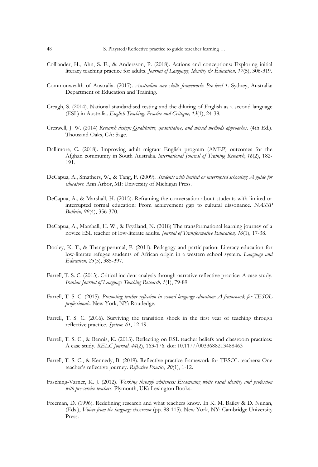- Colliander, H., Ahn, S. E., & Andersson, P. (2018). Actions and conceptions: Exploring initial literacy teaching practice for adults. *Journal of Language, Identity & Education, 17*(5), 306-319.
- Commonwealth of Australia. (2017). *Australian core skills framework: Pre-level 1*. Sydney, Australia: Department of Education and Training.
- Creagh, S. (2014). National standardised testing and the diluting of English as a second language (ESL) in Australia. *English Teaching: Practice and Critique, 13*(1), 24-38.
- Creswell, J. W. (2014) *Research design: Qualitative, quantitative, and mixed methods approaches*. (4th Ed.). Thousand Oaks, CA: Sage.
- Dallimore, C. (2018). Improving adult migrant English program (AMEP) outcomes for the Afghan community in South Australia. *International Journal of Training Research*, *16*(2), 182- 191.
- DeCapua, A., Smathers, W., & Tang, F. (2009). *Students with limited or interrupted schooling: A guide for educators*. Ann Arbor, MI: University of Michigan Press.
- DeCapua, A., & Marshall, H. (2015). Reframing the conversation about students with limited or interrupted formal education: From achievement gap to cultural dissonance. *NASSP Bulletin, 99*(4), 356-370.
- DeCapua, A., Marshall, H. W., & Frydland, N. (2018) The transformational learning journey of a novice ESL teacher of low-literate adults. *Journal of Transformative Education, 16*(1), 17-38.
- Dooley, K. T., & Thangaperumal, P. (2011). Pedagogy and participation: Literacy education for low-literate refugee students of African origin in a western school system. *Language and Education, 25*(5), 385-397.
- Farrell, T. S. C. (2013). Critical incident analysis through narrative reflective practice: A case study. *Iranian Journal of Language Teaching Research, 1*(1), 79-89.
- Farrell, T. S. C. (2015). *Promoting teacher reflection in second language education: A framework for TESOL professionals.* New York, NY: Routledge.
- Farrell, T. S. C. (2016). Surviving the transition shock in the first year of teaching through reflective practice. *System, 61*, 12-19.
- Farrell, T. S. C., & Bennis, K. (2013). Reflecting on ESL teacher beliefs and classroom practices: A case study. *RELC Journal, 44*(2), 163-176. doi: 10.1177/0033688213488463
- Farrell, T. S. C., & Kennedy, B. (2019). Reflective practice framework for TESOL teachers: One teacher's reflective journey. *Reflective Practice, 20*(1), 1-12.
- Fasching-Varner, K. J. (2012). *Working through whiteness: Examining white racial identity and profession with pre-service teachers.* Plymouth, UK: Lexington Books.
- Freeman, D. (1996). Redefining research and what teachers know. In K. M. Bailey & D. Nunan, (Eds.), *Voices from the language classroom* (pp. 88-115). New York, NY: Cambridge University Press.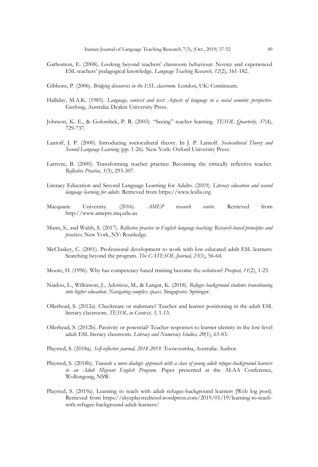- Gatbonton, E. (2008). Looking beyond teachers' classroom behaviour: Novice and experienced ESL teachers' pedagogical knowledge. *Language Teaching Research, 12*(2), 161-182.
- Gibbons, P. (2006). *Bridging discourses in the ESL classroom.* London, UK: Continuum.
- Halliday, M.A.K. (1985). *Language, context and text: Aspects of language in a social semiotic perspective*. Geelong, Australia: Deakin University Press.
- Johnson, K. E., & Golombek, P. R. (2003). "Seeing" teacher learning. *TESOL Quarterly, 37*(4), 729-737.
- Lantolf, J. P. (2000). Introducing sociocultural theory. In J. P. Lantolf. *Sociocultural Theory and Second Language Learning* (pp. 1-26). New York: Oxford University Press.
- Larrivee, B. (2000). Transforming teacher practice: Becoming the critically reflective teacher. *Reflective Practice, 1*(3), 293-307.
- Literacy Education and Second Language Learning for Adults. (2019). *Literacy education and second language learning for adults.* Retrieved fro[m https://www.leslla.org](https://www.leslla.org/)
- Macquarie University. (2016). *AMEP research centre*. Retrieved from [http://www.ameprc.mq.edu.au](http://www.ameprc.mq.edu.au/)
- Mann, S., and Walsh, S. (2017). *Reflective practice in English language teaching: Research-based principles and practices.* New York, NY: Routledge.
- McCluskey, C. (2001). Professional development to work with low-educated adult ESL learners: Searching beyond the program. *The CATESOL Journal, 23*(1), 56-64.
- Moore, H. (1996). Why has competency based training become the solution? *Prospect, 11*(2), 1-25.
- Naidoo, L., Wilkinson, J., Adoniou, M., & Langat, K. (2018). *Refugee background students transitioning into higher education: Navigating complex spaces*. Singapore: Springer.
- Ollerhead, S. (2012a). Checkmate or stalemate? Teacher and learner positioning in the adult ESL literacy classroom. *TESOL in Context, 3*, 1-13.
- Ollerhead, S. (2012b). Passivity or potential? Teacher responses to learner identity in the low-level adult ESL literacy classroom. *Literacy and Numeracy Studies, 20*(1), 63-83.
- Playsted, S. (2018a). *Self-reflective journal, 2018-2019.* Toowoomba, Australia: Author.
- Playsted, S. (2018b). *[Towards a more dialogic approach with a class of young adult refugee-background learners](https://www.slideshare.net/SkyePlaysted/towards-a-more-dialogic-approach-with-a-class-of-young-adult-refugee-learners-in-an-adult-migrant-english-program)  [in an Adult Migrant English Program.](https://www.slideshare.net/SkyePlaysted/towards-a-more-dialogic-approach-with-a-class-of-young-adult-refugee-learners-in-an-adult-migrant-english-program)* Paper presented at the ALAA Conference, Wollongong, NSW.
- Playsted, S. (2019a). Learning to teach with adult refugee-background learners [Web log post]. Retrieved from [https://skyeplaystedtesol.wordpress.com/2019/05/19/learning-to-teach](https://skyeplaystedtesol.wordpress.com/2019/05/19/learning-to-teach-with-refugee-background-adult-learners/)[with-refugee-background-adult-learners/](https://skyeplaystedtesol.wordpress.com/2019/05/19/learning-to-teach-with-refugee-background-adult-learners/)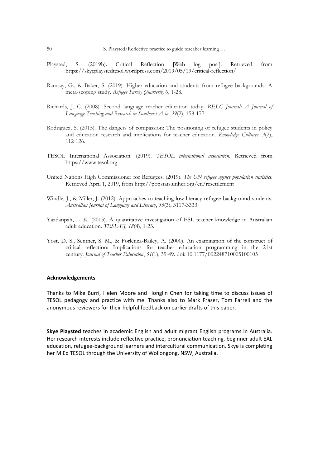- Playsted, S. (2019b). Critical Reflection [Web log post]. Retrieved from <https://skyeplaystedtesol.wordpress.com/2019/05/19/critical-reflection/>
- Ramsay, G., & Baker, S. (2019). Higher education and students from refugee backgrounds: A meta-scoping study. *Refugee Survey Quarterly, 0*, 1-28.
- Richards, J. C. (2008). Second language teacher education today. *RELC Journal: A Journal of Language Teaching and Research in Southeast Asia, 39*(2), 158-177.
- Rodriguez, S. (2015). The dangers of compassion: The positioning of refugee students in policy and education research and implications for teacher education. *Knowledge Cultures, 3*(2), 112-126.
- TESOL International Association. (2019). *TESOL international association.* Retrieved from [https://www.tesol.org](https://www.tesol.org/)
- United Nations High Commissioner for Refugees. (2019). *The UN refugee agency population statistics*. Retrieved April 1, 2019, from [http://popstats.unhcr.org/en/resettlement](http://popstats.unhcr.org/en/resettlement.)
- Windle, J., & Miller, J. (2012). Approaches to teaching low literacy refugee-background students. *Australian Journal of Language and Literacy*, *35*(3), 3117-3333.
- Yazdanpah, L. K. (2015). A quantitative investigation of ESL teacher knowledge in Australian adult education. *TESL-EJ, 18*(4), 1-23.
- Yost, D. S., Sentner, S. M., & Forlenza-Bailey, A. (2000). An examination of the construct of critical reflection: Implications for teacher education programming in the 21st century. *Journal of Teacher Education*, *51*(1), 39-49. doi: 10.1177/002248710005100105

#### **Acknowledgements**

Thanks to Mike Burri, Helen Moore and Honglin Chen for taking time to discuss issues of TESOL pedagogy and practice with me. Thanks also to Mark Fraser, Tom Farrell and the anonymous reviewers for their helpful feedback on earlier drafts of this paper.

**Skye Playsted** teaches in academic English and adult migrant English programs in Australia. Her research interests include reflective practice, pronunciation teaching, beginner adult EAL education, refugee-background learners and intercultural communication. Skye is completing her M Ed TESOL through the University of Wollongong, NSW, Australia.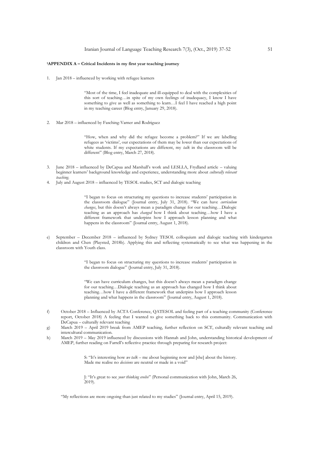#### **<sup>1</sup>APPENDIX A – Critical Incidents in my first year teaching journey**

1. Jan 2018 – influenced by working with refugee learners

"Most of the time, I feel inadequate and ill-equipped to deal with the complexities of this sort of teaching…in spite of my own feelings of inadequacy, I know I have something to give as well as something to learn...I feel I have reached a high point in my teaching career (Blog entry, January 29, 2018).

2. Mar 2018 – influenced by Fasching-Varner and Rodriguez

"How, when and why did the refugee become a problem?" If we are labelling refugees as 'victims', our expectations of them may be lower than our expectations of white students. If my expectations are different, my *talk* in the classroom will be different" (Blog entry, March 27, 2018).

- 3. June 2018 influenced by DeCapua and Marshall's work and LESLLA, Frydland article valuing beginner learners' background knowledge and experience, understanding more about *culturally relevant teaching*.
- 4. July and August 2018 influenced by TESOL studies, SCT and dialogic teaching

"I began to focus on structuring my questions to increase students' participation in the classroom dialogue" (Journal entry, July 31, 2018). "We can have *curriculum changes*, but this doesn't always mean a paradigm change for our teaching…Dialogic teaching as an approach has *changed* how I think about teaching…how I have a different framework that underpins how I approach lesson planning and what happens in the classroom" (Journal entry, August 1, 2018).

e) September – December 2018 – influenced by Sydney TESOL colloquium and dialogic teaching with kindergarten children and Chen (Playsted, 2018b). Applying this and reflecting systematically to see what was happening in the classroom with Youth class.

> "I began to focus on structuring my questions to increase students' participation in the classroom dialogue" (Journal entry, July 31, 2018).

> "We can have curriculum changes, but this doesn't always mean a paradigm change for our teaching…Dialogic teaching as an approach has changed how I think about teaching…how I have a different framework that underpins how I approach lesson planning and what happens in the classroom" (Journal entry, August 1, 2018).

- f) October 2018 Influenced by ACTA Conference, QATESOL and feeling part of a teaching community (Conference report, October 2018) A feeling that I wanted to give something back to this community. Communication with DeCapua – culturally relevant teaching
- g) March 2019 April 2019 break from AMEP teaching, further reflection on SCT, culturally relevant teaching and intercultural communication.
- h) March 2019 May 2019 influenced by discussions with Hannah and John, understanding historical development of AMEP, further reading on Farrell's reflective practice through preparing for research project:

S: "It's interesting how *we talk* – me about beginning now and [she] about the history. Made me realise no *decisions* are neutral or made in a void"

J: "It's great to see *your thinking evolve*" (Personal communication with John, March 26, 2019).

"My reflections are more ongoing than just related to my studies" (Journal entry, April 15, 2019).